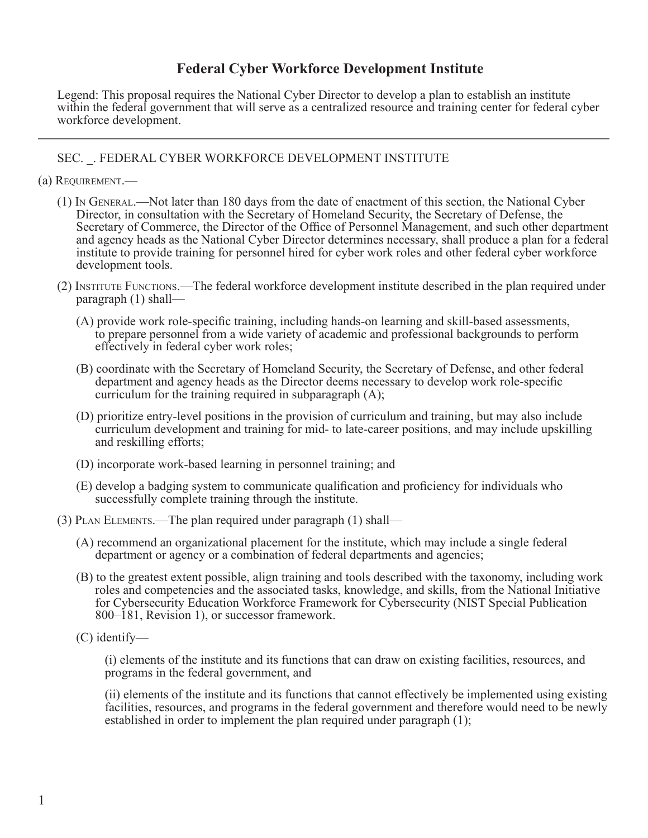## **Federal Cyber Workforce Development Institute**

Legend: This proposal requires the National Cyber Director to develop a plan to establish an institute within the federal government that will serve as a centralized resource and training center for federal cyber workforce development.

## SEC. \_. FEDERAL CYBER WORKFORCE DEVELOPMENT INSTITUTE

- (a) Requirement.—
	- (1) In General.—Not later than 180 days from the date of enactment of this section, the National Cyber Director, in consultation with the Secretary of Homeland Security, the Secretary of Defense, the Secretary of Commerce, the Director of the Office of Personnel Management, and such other department and agency heads as the National Cyber Director determines necessary, shall produce a plan for a federal institute to provide training for personnel hired for cyber work roles and other federal cyber workforce development tools.
	- (2) Institute Functions.—The federal workforce development institute described in the plan required under paragraph (1) shall—
		- (A) provide work role-specific training, including hands-on learning and skill-based assessments, to prepare personnel from a wide variety of academic and professional backgrounds to perform effectively in federal cyber work roles;
		- (B) coordinate with the Secretary of Homeland Security, the Secretary of Defense, and other federal department and agency heads as the Director deems necessary to develop work role-specific curriculum for the training required in subparagraph (A);
		- (D) prioritize entry-level positions in the provision of curriculum and training, but may also include curriculum development and training for mid- to late-career positions, and may include upskilling and reskilling efforts;
		- (D) incorporate work-based learning in personnel training; and
		- (E) develop a badging system to communicate qualification and proficiency for individuals who successfully complete training through the institute.
	- (3) Plan Elements.—The plan required under paragraph (1) shall—
		- (A) recommend an organizational placement for the institute, which may include a single federal department or agency or a combination of federal departments and agencies;
		- (B) to the greatest extent possible, align training and tools described with the taxonomy, including work roles and competencies and the associated tasks, knowledge, and skills, from the National Initiative for Cybersecurity Education Workforce Framework for Cybersecurity (NIST Special Publication 800–181, Revision 1), or successor framework.
		- (C) identify—

(i) elements of the institute and its functions that can draw on existing facilities, resources, and programs in the federal government, and

(ii) elements of the institute and its functions that cannot effectively be implemented using existing facilities, resources, and programs in the federal government and therefore would need to be newly established in order to implement the plan required under paragraph (1);